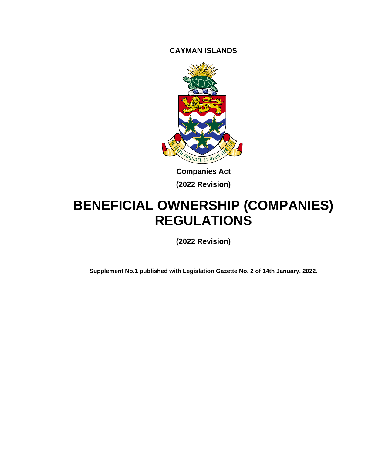**CAYMAN ISLANDS**



**Companies Act (2022 Revision)**

# **BENEFICIAL OWNERSHIP (COMPANIES) REGULATIONS**

**(2022 Revision)**

**Supplement No.1 published with Legislation Gazette No. 2 of 14th January, 2022.**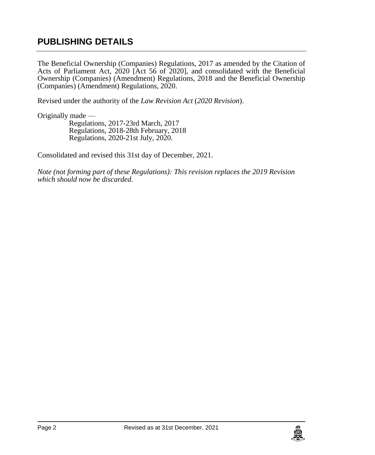## **PUBLISHING DETAILS**

The Beneficial Ownership (Companies) Regulations, 2017 as amended by the Citation of Acts of Parliament Act, 2020 [Act 56 of 2020], and consolidated with the Beneficial Ownership (Companies) (Amendment) Regulations, 2018 and the Beneficial Ownership (Companies) (Amendment) Regulations, 2020.

Revised under the authority of the *Law Revision Act* (*2020 Revision*).

Originally made —

Regulations, 2017-23rd March, 2017 Regulations, 2018-28th February, 2018 Regulations, 2020-21st July, 2020.

Consolidated and revised this 31st day of December, 2021.

*Note (not forming part of these Regulations): This revision replaces the 2019 Revision which should now be discarded.*

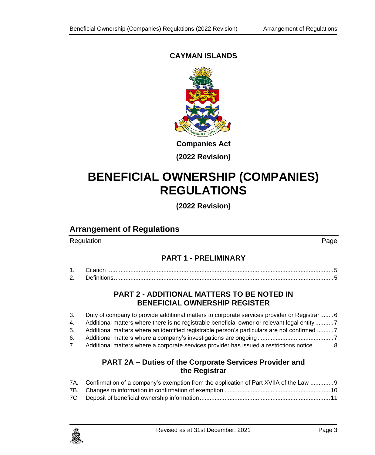### **CAYMAN ISLANDS**



**(2022 Revision)**

# **BENEFICIAL OWNERSHIP (COMPANIES) REGULATIONS**

**(2022 Revision)**

### **Arrangement of Regulations**

Regulation **Page** 

#### **PART 1 - [PRELIMINARY](#page-4-0)**

| <u>.</u> |  |
|----------|--|

#### **PART 2 - [ADDITIONAL MATTERS TO BE NOTED IN](#page-5-0)  [BENEFICIAL OWNERSHIP REGISTER](#page-5-0)**

- 3. [Duty of company to provide additional matters to corporate services provider or Registrar........6](#page-5-1) 4. [Additional matters where there is no registrable beneficial owner or relevant legal entity](#page-6-0) ...........7
- 5. [Additional matters where an identified registrable person's particulars are not confirmed](#page-6-1) ..........7
- 6. [Additional matters where a company's investigations are ongoing..............................................7](#page-6-2)
- 7. [Additional matters where a corporate services provider has issued a restrictions notice](#page-7-0) ............8

#### **PART 2A – [Duties of the Corporate Services Provider and](#page-8-0)  [the Registrar](#page-8-0)**

| 7A. Confirmation of a company's exemption from the application of Part XVIIA of the Law 9 |
|-------------------------------------------------------------------------------------------|
|                                                                                           |
|                                                                                           |

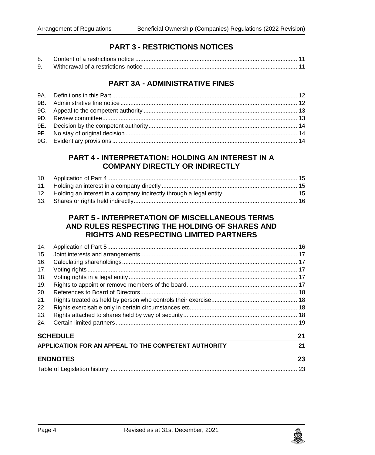### **PART 3 - [RESTRICTIONS NOTICES](#page-10-1)**

| 9. |  |  |
|----|--|--|

#### **PART 3A - [ADMINISTRATIVE FINES](#page-11-0)**

#### **PART 4 - [INTERPRETATION: HOLDING AN INTEREST](#page-14-0) IN A [COMPANY DIRECTLY OR INDIRECTLY](#page-14-0)**

#### **PART 5 - [INTERPRETATION OF MISCELLANEOUS TERMS](#page-15-1)  [AND RULES RESPECTING THE HOLDING OF SHARES AND](#page-15-1)  [RIGHTS AND RESPECTING LIMITED PARTNERS](#page-15-1)**

| 14. |                                                      |    |
|-----|------------------------------------------------------|----|
| 15. |                                                      |    |
| 16. |                                                      |    |
| 17. |                                                      |    |
| 18. |                                                      |    |
| 19. |                                                      |    |
| 20. |                                                      |    |
| 21. |                                                      |    |
| 22. |                                                      |    |
| 23. |                                                      |    |
| 24. |                                                      |    |
|     | <b>SCHEDULE</b>                                      | 21 |
|     | APPLICATION FOR AN APPEAL TO THE COMPETENT AUTHORITY | 21 |
|     | <b>ENDNOTES</b>                                      | 23 |
|     |                                                      |    |

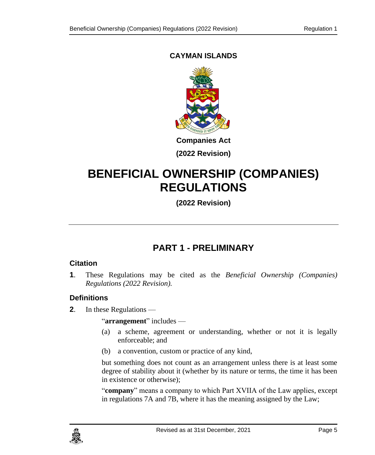### **CAYMAN ISLANDS**



# **BENEFICIAL OWNERSHIP (COMPANIES) REGULATIONS**

**(2022 Revision)**

# **PART 1 - PRELIMINARY**

#### <span id="page-4-1"></span><span id="page-4-0"></span>**1. Citation**

**1**. These Regulations may be cited as the *Beneficial Ownership (Companies) Regulations (2022 Revision).*

#### <span id="page-4-2"></span>**2. Definitions**

**2**. In these Regulations —

"**arrangement**" includes —

- (a) a scheme, agreement or understanding, whether or not it is legally enforceable; and
- (b) a convention, custom or practice of any kind,

but something does not count as an arrangement unless there is at least some degree of stability about it (whether by its nature or terms, the time it has been in existence or otherwise);

"**company**" means a company to which Part XVIIA of the Law applies, except in regulations 7A and 7B, where it has the meaning assigned by the Law;

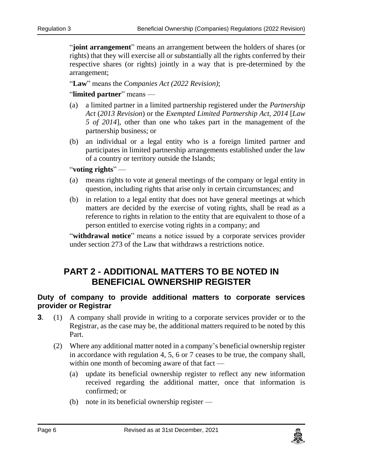"**joint arrangement**" means an arrangement between the holders of shares (or rights) that they will exercise all or substantially all the rights conferred by their respective shares (or rights) jointly in a way that is pre-determined by the arrangement;

"**Law**" means the *Companies Act (2022 Revision)*;

#### "**limited partner**" means —

- (a) a limited partner in a limited partnership registered under the *Partnership Act* (*2013 Revision*) or the *Exempted Limited Partnership Act, 2014* [*Law 5 of 2014*], other than one who takes part in the management of the partnership business; or
- (b) an individual or a legal entity who is a foreign limited partner and participates in limited partnership arrangements established under the law of a country or territory outside the Islands;

#### "**voting rights**" —

- (a) means rights to vote at general meetings of the company or legal entity in question, including rights that arise only in certain circumstances; and
- (b) in relation to a legal entity that does not have general meetings at which matters are decided by the exercise of voting rights, shall be read as a reference to rights in relation to the entity that are equivalent to those of a person entitled to exercise voting rights in a company; and

"**withdrawal notice**" means a notice issued by a corporate services provider under section 273 of the Law that withdraws a restrictions notice.

### <span id="page-5-0"></span>**PART 2 - ADDITIONAL MATTERS TO BE NOTED IN BENEFICIAL OWNERSHIP REGISTER**

#### <span id="page-5-1"></span>**3. Duty of company to provide additional matters to corporate services provider or Registrar**

- **3**. (1) A company shall provide in writing to a corporate services provider or to the Registrar, as the case may be, the additional matters required to be noted by this Part.
	- (2) Where any additional matter noted in a company's beneficial ownership register in accordance with regulation [4,](#page-6-3) [5,](#page-6-4) [6](#page-6-5) or [7](#page-7-1) ceases to be true, the company shall, within one month of becoming aware of that fact —
		- (a) update its beneficial ownership register to reflect any new information received regarding the additional matter, once that information is confirmed; or
		- (b) note in its beneficial ownership register —

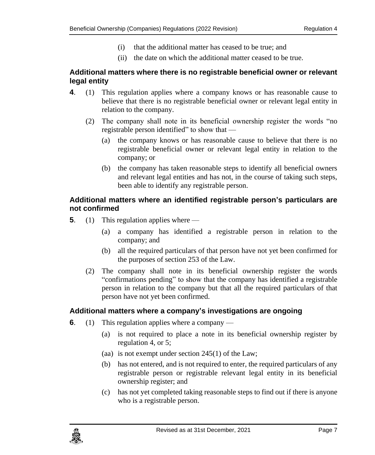- (i) that the additional matter has ceased to be true; and
- (ii) the date on which the additional matter ceased to be true.

#### <span id="page-6-0"></span>**4. Additional matters where there is no registrable beneficial owner or relevant legal entity**

- <span id="page-6-3"></span>**4**. (1) This regulation applies where a company knows or has reasonable cause to believe that there is no registrable beneficial owner or relevant legal entity in relation to the company.
	- (2) The company shall note in its beneficial ownership register the words "no registrable person identified" to show that —
		- (a) the company knows or has reasonable cause to believe that there is no registrable beneficial owner or relevant legal entity in relation to the company; or
		- (b) the company has taken reasonable steps to identify all beneficial owners and relevant legal entities and has not, in the course of taking such steps, been able to identify any registrable person.

#### <span id="page-6-1"></span>**5. Additional matters where an identified registrable person's particulars are not confirmed**

- <span id="page-6-4"></span>**5**. (1) This regulation applies where —
	- (a) a company has identified a registrable person in relation to the company; and
	- (b) all the required particulars of that person have not yet been confirmed for the purposes of section 253 of the Law.
	- (2) The company shall note in its beneficial ownership register the words "confirmations pending" to show that the company has identified a registrable person in relation to the company but that all the required particulars of that person have not yet been confirmed.

#### <span id="page-6-2"></span>**6. Additional matters where a company's investigations are ongoing**

- <span id="page-6-5"></span>**6**. (1) This regulation applies where a company —
	- (a) is not required to place a note in its beneficial ownership register by regulation [4,](#page-6-3) or [5;](#page-6-4)
	- (aa) is not exempt under section 245(1) of the Law;
	- (b) has not entered, and is not required to enter, the required particulars of any registrable person or registrable relevant legal entity in its beneficial ownership register; and
	- (c) has not yet completed taking reasonable steps to find out if there is anyone who is a registrable person.

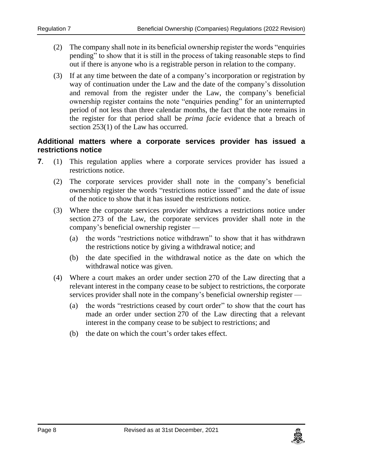- (2) The company shall note in its beneficial ownership register the words "enquiries pending" to show that it is still in the process of taking reasonable steps to find out if there is anyone who is a registrable person in relation to the company.
- (3) If at any time between the date of a company's incorporation or registration by way of continuation under the Law and the date of the company's dissolution and removal from the register under the Law, the company's beneficial ownership register contains the note "enquiries pending" for an uninterrupted period of not less than three calendar months, the fact that the note remains in the register for that period shall be *prima facie* evidence that a breach of section 253(1) of the Law has occurred.

#### <span id="page-7-0"></span>**7. Additional matters where a corporate services provider has issued a restrictions notice**

- <span id="page-7-1"></span>**7**. (1) This regulation applies where a corporate services provider has issued a restrictions notice.
	- (2) The corporate services provider shall note in the company's beneficial ownership register the words "restrictions notice issued" and the date of issue of the notice to show that it has issued the restrictions notice.
	- (3) Where the corporate services provider withdraws a restrictions notice under section 273 of the Law, the corporate services provider shall note in the company's beneficial ownership register —
		- (a) the words "restrictions notice withdrawn" to show that it has withdrawn the restrictions notice by giving a withdrawal notice; and
		- (b) the date specified in the withdrawal notice as the date on which the withdrawal notice was given.
	- (4) Where a court makes an order under section 270 of the Law directing that a relevant interest in the company cease to be subject to restrictions, the corporate services provider shall note in the company's beneficial ownership register —
		- (a) the words "restrictions ceased by court order" to show that the court has made an order under section 270 of the Law directing that a relevant interest in the company cease to be subject to restrictions; and
		- (b) the date on which the court's order takes effect.

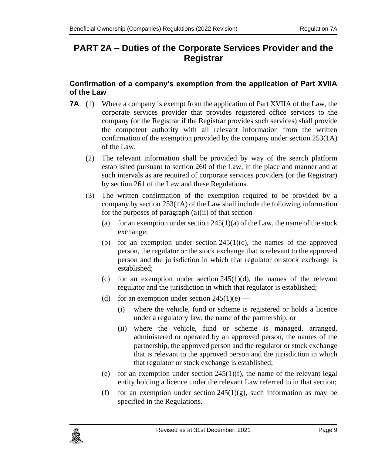# <span id="page-8-0"></span>**PART 2A – Duties of the Corporate Services Provider and the Registrar**

#### <span id="page-8-1"></span>**7A. Confirmation of a company's exemption from the application of Part XVIIA of the Law**

- **7A.** (1) Where a company is exempt from the application of Part XVIIA of the Law, the corporate services provider that provides registered office services to the company (or the Registrar if the Registrar provides such services) shall provide the competent authority with all relevant information from the written confirmation of the exemption provided by the company under section 253(1A) of the Law.
	- (2) The relevant information shall be provided by way of the search platform established pursuant to section 260 of the Law, in the place and manner and at such intervals as are required of corporate services providers (or the Registrar) by section 261 of the Law and these Regulations.
	- (3) The written confirmation of the exemption required to be provided by a company by section 253(1A) of the Law shall include the following information for the purposes of paragraph  $(a)(ii)$  of that section —
		- (a) for an exemption under section  $245(1)(a)$  of the Law, the name of the stock exchange;
		- (b) for an exemption under section  $245(1)(c)$ , the names of the approved person, the regulator or the stock exchange that is relevant to the approved person and the jurisdiction in which that regulator or stock exchange is established;
		- (c) for an exemption under section  $245(1)(d)$ , the names of the relevant regulator and the jurisdiction in which that regulator is established;
		- (d) for an exemption under section  $245(1)(e)$ 
			- (i) where the vehicle, fund or scheme is registered or holds a licence under a regulatory law, the name of the partnership; or
			- (ii) where the vehicle, fund or scheme is managed, arranged, administered or operated by an approved person, the names of the partnership, the approved person and the regulator or stock exchange that is relevant to the approved person and the jurisdiction in which that regulator or stock exchange is established;
		- (e) for an exemption under section  $245(1)(f)$ , the name of the relevant legal entity holding a licence under the relevant Law referred to in that section;
		- (f) for an exemption under section  $245(1)(g)$ , such information as may be specified in the Regulations.

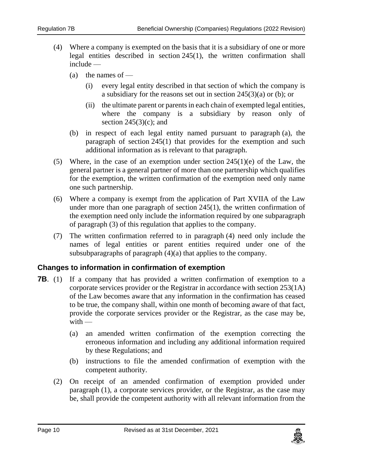- (4) Where a company is exempted on the basis that it is a subsidiary of one or more legal entities described in section 245(1), the written confirmation shall include —
	- (a) the names of  $-$ 
		- (i) every legal entity described in that section of which the company is a subsidiary for the reasons set out in section 245(3)(a) or (b); or
		- (ii) the ultimate parent or parents in each chain of exempted legal entities, where the company is a subsidiary by reason only of section  $245(3)(c)$ ; and
	- (b) in respect of each legal entity named pursuant to paragraph (a), the paragraph of section 245(1) that provides for the exemption and such additional information as is relevant to that paragraph.
- (5) Where, in the case of an exemption under section  $245(1)(e)$  of the Law, the general partner is a general partner of more than one partnership which qualifies for the exemption, the written confirmation of the exemption need only name one such partnership.
- (6) Where a company is exempt from the application of Part XVIIA of the Law under more than one paragraph of section 245(1), the written confirmation of the exemption need only include the information required by one subparagraph of paragraph (3) of this regulation that applies to the company.
- (7) The written confirmation referred to in paragraph (4) need only include the names of legal entities or parent entities required under one of the subsubparagraphs of paragraph  $(4)(a)$  that applies to the company.

#### <span id="page-9-0"></span>**7B. Changes to information in confirmation of exemption**

- **7B.** (1) If a company that has provided a written confirmation of exemption to a corporate services provider or the Registrar in accordance with section 253(1A) of the Law becomes aware that any information in the confirmation has ceased to be true, the company shall, within one month of becoming aware of that fact, provide the corporate services provider or the Registrar, as the case may be,  $with$  —
	- (a) an amended written confirmation of the exemption correcting the erroneous information and including any additional information required by these Regulations; and
	- (b) instructions to file the amended confirmation of exemption with the competent authority.
	- (2) On receipt of an amended confirmation of exemption provided under paragraph (1), a corporate services provider, or the Registrar, as the case may be, shall provide the competent authority with all relevant information from the

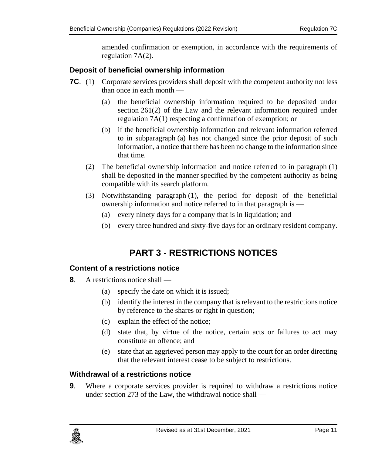amended confirmation or exemption, in accordance with the requirements of regulation 7A(2).

#### <span id="page-10-0"></span>**7C. Deposit of beneficial ownership information**

- **7C**. (1) Corporate services providers shall deposit with the competent authority not less than once in each month —
	- (a) the beneficial ownership information required to be deposited under section 261(2) of the Law and the relevant information required under regulation 7A(1) respecting a confirmation of exemption; or
	- (b) if the beneficial ownership information and relevant information referred to in subparagraph (a) has not changed since the prior deposit of such information, a notice that there has been no change to the information since that time.
	- (2) The beneficial ownership information and notice referred to in paragraph (1) shall be deposited in the manner specified by the competent authority as being compatible with its search platform.
	- (3) Notwithstanding paragraph (1), the period for deposit of the beneficial ownership information and notice referred to in that paragraph is —
		- (a) every ninety days for a company that is in liquidation; and
		- (b) every three hundred and sixty-five days for an ordinary resident company.

# **PART 3 - RESTRICTIONS NOTICES**

#### <span id="page-10-2"></span><span id="page-10-1"></span>**8. Content of a restrictions notice**

- **8**. A restrictions notice shall
	- (a) specify the date on which it is issued;
	- (b) identify the interest in the company that is relevant to the restrictions notice by reference to the shares or right in question;
	- (c) explain the effect of the notice;
	- (d) state that, by virtue of the notice, certain acts or failures to act may constitute an offence; and
	- (e) state that an aggrieved person may apply to the court for an order directing that the relevant interest cease to be subject to restrictions.

#### <span id="page-10-3"></span>**9. Withdrawal of a restrictions notice**

**9**. Where a corporate services provider is required to withdraw a restrictions notice under section 273 of the Law, the withdrawal notice shall —

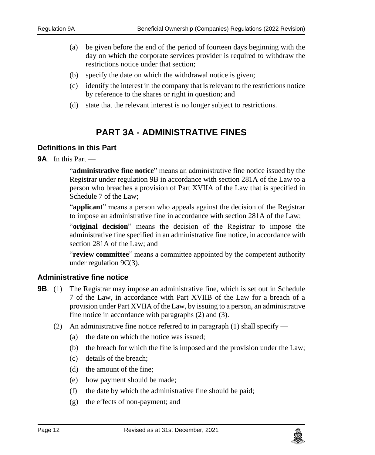- (a) be given before the end of the period of fourteen days beginning with the day on which the corporate services provider is required to withdraw the restrictions notice under that section;
- (b) specify the date on which the withdrawal notice is given;
- (c) identify the interest in the company that is relevant to the restrictions notice by reference to the shares or right in question; and
- (d) state that the relevant interest is no longer subject to restrictions.

## **PART 3A - ADMINISTRATIVE FINES**

#### <span id="page-11-1"></span><span id="page-11-0"></span>**9A. Definitions in this Part**

#### **9A**. In this Part —

"**administrative fine notice**" means an administrative fine notice issued by the Registrar under regulation [9B](#page-11-3) in accordance with section 281A of the Law to a person who breaches a provision of Part XVIIA of the Law that is specified in Schedule 7 of the Law;

"**applicant**" means a person who appeals against the decision of the Registrar to impose an administrative fine in accordance with section 281A of the Law;

"**original decision**" means the decision of the Registrar to impose the administrative fine specified in an administrative fine notice, in accordance with section 281A of the Law; and

"**review committee**" means a committee appointed by the competent authority under regulation 9C(3).

#### <span id="page-11-2"></span>**9B. Administrative fine notice**

- <span id="page-11-3"></span>**9B.** (1) The Registrar may impose an administrative fine, which is set out in Schedule 7 of the Law, in accordance with Part XVIIB of the Law for a breach of a provision under Part XVIIA of the Law, by issuing to a person, an administrative fine notice in accordance with paragraphs (2) and (3).
	- (2) An administrative fine notice referred to in paragraph (1) shall specify
		- (a) the date on which the notice was issued;
		- (b) the breach for which the fine is imposed and the provision under the Law;
		- (c) details of the breach;
		- (d) the amount of the fine;
		- (e) how payment should be made;
		- (f) the date by which the administrative fine should be paid;
		- (g) the effects of non-payment; and

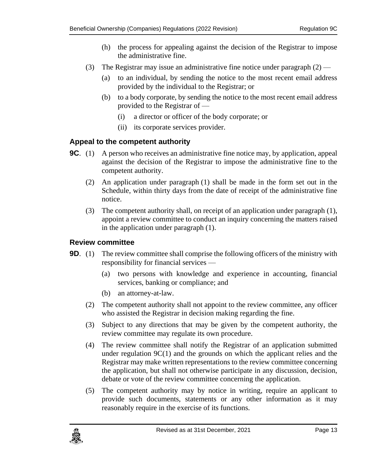- (h) the process for appealing against the decision of the Registrar to impose the administrative fine.
- (3) The Registrar may issue an administrative fine notice under paragraph  $(2)$ 
	- (a) to an individual, by sending the notice to the most recent email address provided by the individual to the Registrar; or
	- (b) to a body corporate, by sending the notice to the most recent email address provided to the Registrar of —
		- (i) a director or officer of the body corporate; or
		- (ii) its corporate services provider.

#### <span id="page-12-0"></span>**9C. Appeal to the competent authority**

- <span id="page-12-2"></span>**9C.** (1) A person who receives an administrative fine notice may, by application, appeal against the decision of the Registrar to impose the administrative fine to the competent authority.
	- (2) An application under paragraph (1) shall be made in the form set out in the Schedule, within thirty days from the date of receipt of the administrative fine notice.
	- (3) The competent authority shall, on receipt of an application under paragraph (1), appoint a review committee to conduct an inquiry concerning the matters raised in the application under paragraph (1).

#### <span id="page-12-1"></span>**9D. Review committee**

- **9D.** (1) The review committee shall comprise the following officers of the ministry with responsibility for financial services —
	- (a) two persons with knowledge and experience in accounting, financial services, banking or compliance; and
	- (b) an attorney-at-law.
	- (2) The competent authority shall not appoint to the review committee, any officer who assisted the Registrar in decision making regarding the fine.
	- (3) Subject to any directions that may be given by the competent authority, the review committee may regulate its own procedure.
	- (4) The review committee shall notify the Registrar of an application submitted under regulation  $9C(1)$  and the grounds on which the applicant relies and the Registrar may make written representations to the review committee concerning the application, but shall not otherwise participate in any discussion, decision, debate or vote of the review committee concerning the application.
	- (5) The competent authority may by notice in writing, require an applicant to provide such documents, statements or any other information as it may reasonably require in the exercise of its functions.

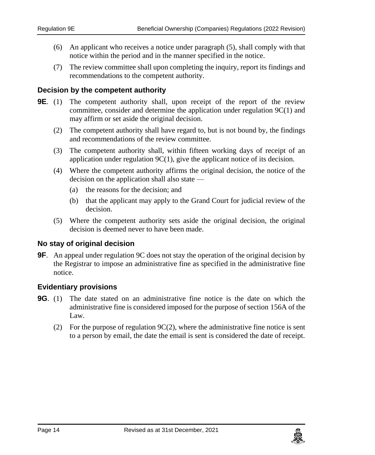- (6) An applicant who receives a notice under paragraph (5), shall comply with that notice within the period and in the manner specified in the notice.
- (7) The review committee shall upon completing the inquiry, report its findings and recommendations to the competent authority.

#### <span id="page-13-0"></span>**9E. Decision by the competent authority**

- **9E**. (1) The competent authority shall, upon receipt of the report of the review committee, consider and determine the application under regulation 9C(1) and may affirm or set aside the original decision.
	- (2) The competent authority shall have regard to, but is not bound by, the findings and recommendations of the review committee.
	- (3) The competent authority shall, within fifteen working days of receipt of an application under regulation 9C(1), give the applicant notice of its decision.
	- (4) Where the competent authority affirms the original decision, the notice of the decision on the application shall also state —
		- (a) the reasons for the decision; and
		- (b) that the applicant may apply to the Grand Court for judicial review of the decision.
	- (5) Where the competent authority sets aside the original decision, the original decision is deemed never to have been made.

#### <span id="page-13-1"></span>**9F. No stay of original decision**

**9F**. An appeal under regulation [9C](#page-12-2) does not stay the operation of the original decision by the Registrar to impose an administrative fine as specified in the administrative fine notice.

#### <span id="page-13-2"></span>**9G. Evidentiary provisions**

- **9G**. (1) The date stated on an administrative fine notice is the date on which the administrative fine is considered imposed for the purpose of section 156A of the Law.
	- (2) For the purpose of regulation  $9C(2)$ , where the administrative fine notice is sent to a person by email, the date the email is sent is considered the date of receipt.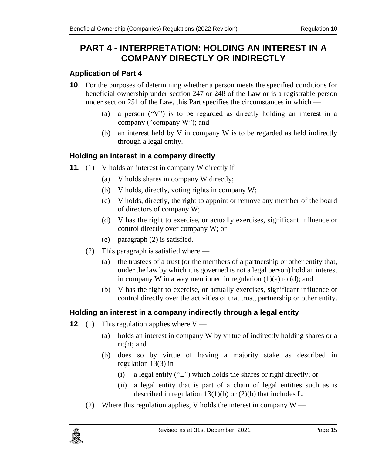# <span id="page-14-0"></span>**PART 4 - INTERPRETATION: HOLDING AN INTEREST IN A COMPANY DIRECTLY OR INDIRECTLY**

### <span id="page-14-1"></span>**10. Application of Part 4**

- **10**. For the purposes of determining whether a person meets the specified conditions for beneficial ownership under section 247 or 248 of the Law or is a registrable person under section 251 of the Law, this Part specifies the circumstances in which —
	- (a) a person ("V") is to be regarded as directly holding an interest in a company ("company W"); and
	- (b) an interest held by V in company W is to be regarded as held indirectly through a legal entity.

### <span id="page-14-2"></span>**11. Holding an interest in a company directly**

- **11.** (1) V holds an interest in company W directly if
	- (a) V holds shares in company W directly;
	- (b) V holds, directly, voting rights in company W;
	- (c) V holds, directly, the right to appoint or remove any member of the board of directors of company W;
	- (d) V has the right to exercise, or actually exercises, significant influence or control directly over company W; or
	- (e) paragraph (2) is satisfied.
	- (2) This paragraph is satisfied where
		- (a) the trustees of a trust (or the members of a partnership or other entity that, under the law by which it is governed is not a legal person) hold an interest in company W in a way mentioned in regulation  $(1)(a)$  to  $(d)$ ; and
		- (b) V has the right to exercise, or actually exercises, significant influence or control directly over the activities of that trust, partnership or other entity.

### <span id="page-14-3"></span>**12. Holding an interest in a company indirectly through a legal entity**

- **12.** (1) This regulation applies where  $V \rightarrow$ 
	- (a) holds an interest in company W by virtue of indirectly holding shares or a right; and
	- (b) does so by virtue of having a majority stake as described in regulation  $13(3)$  in  $-$ 
		- (i) a legal entity ("L") which holds the shares or right directly; or
		- (ii) a legal entity that is part of a chain of legal entities such as is described in regulation  $13(1)(b)$  or  $(2)(b)$  that includes L.
	- (2) Where this regulation applies, V holds the interest in company  $W -$

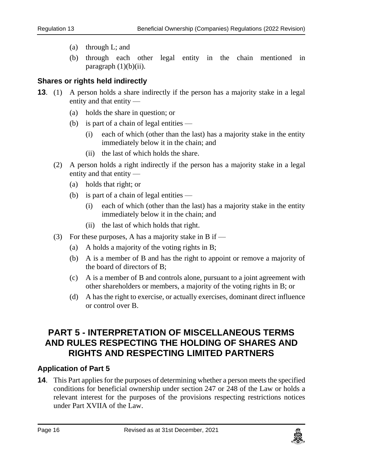- (a) through L; and
- (b) through each other legal entity in the chain mentioned in paragraph  $(1)(b)(ii)$ .

#### <span id="page-15-0"></span>**13. Shares or rights held indirectly**

- **13**. (1) A person holds a share indirectly if the person has a majority stake in a legal entity and that entity —
	- (a) holds the share in question; or
	- (b) is part of a chain of legal entities
		- (i) each of which (other than the last) has a majority stake in the entity immediately below it in the chain; and
		- (ii) the last of which holds the share.
	- (2) A person holds a right indirectly if the person has a majority stake in a legal entity and that entity —
		- (a) holds that right; or
		- (b) is part of a chain of legal entities
			- (i) each of which (other than the last) has a majority stake in the entity immediately below it in the chain; and
			- (ii) the last of which holds that right.
	- (3) For these purposes, A has a majority stake in B if
		- (a) A holds a majority of the voting rights in B;
		- (b) A is a member of B and has the right to appoint or remove a majority of the board of directors of B;
		- (c) A is a member of B and controls alone, pursuant to a joint agreement with other shareholders or members, a majority of the voting rights in B; or
		- (d) A has the right to exercise, or actually exercises, dominant direct influence or control over B.

## <span id="page-15-1"></span>**PART 5 - INTERPRETATION OF MISCELLANEOUS TERMS AND RULES RESPECTING THE HOLDING OF SHARES AND RIGHTS AND RESPECTING LIMITED PARTNERS**

#### <span id="page-15-2"></span>**14. Application of Part 5**

**14**. This Part applies for the purposes of determining whether a person meets the specified conditions for beneficial ownership under section 247 or 248 of the Law or holds a relevant interest for the purposes of the provisions respecting restrictions notices under Part XVIIA of the Law.

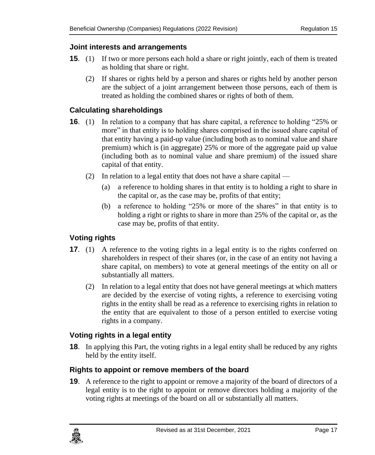#### <span id="page-16-0"></span>**15. Joint interests and arrangements**

- **15**. (1) If two or more persons each hold a share or right jointly, each of them is treated as holding that share or right.
	- (2) If shares or rights held by a person and shares or rights held by another person are the subject of a joint arrangement between those persons, each of them is treated as holding the combined shares or rights of both of them.

#### <span id="page-16-1"></span>**16. Calculating shareholdings**

- **16.** (1) In relation to a company that has share capital, a reference to holding "25% or more" in that entity is to holding shares comprised in the issued share capital of that entity having a paid-up value (including both as to nominal value and share premium) which is (in aggregate) 25% or more of the aggregate paid up value (including both as to nominal value and share premium) of the issued share capital of that entity.
	- (2) In relation to a legal entity that does not have a share capital
		- (a) a reference to holding shares in that entity is to holding a right to share in the capital or, as the case may be, profits of that entity;
		- (b) a reference to holding "25% or more of the shares" in that entity is to holding a right or rights to share in more than 25% of the capital or, as the case may be, profits of that entity.

#### <span id="page-16-2"></span>**17. Voting rights**

- **17.** (1) A reference to the voting rights in a legal entity is to the rights conferred on shareholders in respect of their shares (or, in the case of an entity not having a share capital, on members) to vote at general meetings of the entity on all or substantially all matters.
	- (2) In relation to a legal entity that does not have general meetings at which matters are decided by the exercise of voting rights, a reference to exercising voting rights in the entity shall be read as a reference to exercising rights in relation to the entity that are equivalent to those of a person entitled to exercise voting rights in a company.

#### <span id="page-16-3"></span>**18. Voting rights in a legal entity**

**18**. In applying this Part, the voting rights in a legal entity shall be reduced by any rights held by the entity itself.

#### <span id="page-16-4"></span>**19. Rights to appoint or remove members of the board**

**19**. A reference to the right to appoint or remove a majority of the board of directors of a legal entity is to the right to appoint or remove directors holding a majority of the voting rights at meetings of the board on all or substantially all matters.

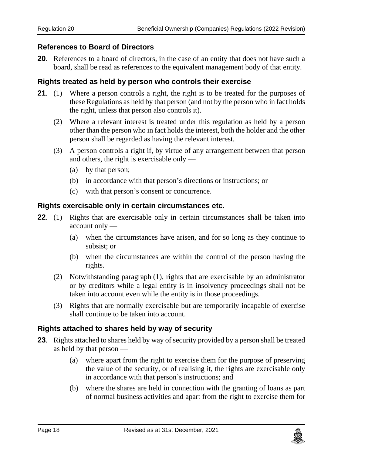#### <span id="page-17-0"></span>**20. References to Board of Directors**

**20**. References to a board of directors, in the case of an entity that does not have such a board, shall be read as references to the equivalent management body of that entity.

#### <span id="page-17-1"></span>**21. Rights treated as held by person who controls their exercise**

- **21**. (1) Where a person controls a right, the right is to be treated for the purposes of these Regulations as held by that person (and not by the person who in fact holds the right, unless that person also controls it).
	- (2) Where a relevant interest is treated under this regulation as held by a person other than the person who in fact holds the interest, both the holder and the other person shall be regarded as having the relevant interest.
	- (3) A person controls a right if, by virtue of any arrangement between that person and others, the right is exercisable only —
		- (a) by that person;
		- (b) in accordance with that person's directions or instructions; or
		- (c) with that person's consent or concurrence.

#### <span id="page-17-2"></span>**22. Rights exercisable only in certain circumstances etc.**

- **22.** (1) Rights that are exercisable only in certain circumstances shall be taken into account only —
	- (a) when the circumstances have arisen, and for so long as they continue to subsist; or
	- (b) when the circumstances are within the control of the person having the rights.
	- (2) Notwithstanding paragraph (1), rights that are exercisable by an administrator or by creditors while a legal entity is in insolvency proceedings shall not be taken into account even while the entity is in those proceedings.
	- (3) Rights that are normally exercisable but are temporarily incapable of exercise shall continue to be taken into account.

#### <span id="page-17-3"></span>**23. Rights attached to shares held by way of security**

- **23**. Rights attached to shares held by way of security provided by a person shall be treated as held by that person —
	- (a) where apart from the right to exercise them for the purpose of preserving the value of the security, or of realising it, the rights are exercisable only in accordance with that person's instructions; and
	- (b) where the shares are held in connection with the granting of loans as part of normal business activities and apart from the right to exercise them for

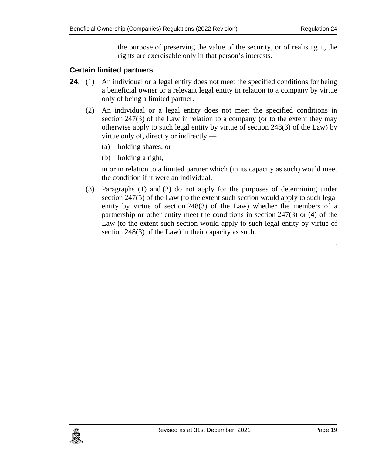the purpose of preserving the value of the security, or of realising it, the rights are exercisable only in that person's interests.

#### <span id="page-18-0"></span>**24. Certain limited partners**

- **24.** (1) An individual or a legal entity does not meet the specified conditions for being a beneficial owner or a relevant legal entity in relation to a company by virtue only of being a limited partner.
	- (2) An individual or a legal entity does not meet the specified conditions in section 247(3) of the Law in relation to a company (or to the extent they may otherwise apply to such legal entity by virtue of section 248(3) of the Law) by virtue only of, directly or indirectly —
		- (a) holding shares; or
		- (b) holding a right,

in or in relation to a limited partner which (in its capacity as such) would meet the condition if it were an individual.

(3) Paragraphs (1) and (2) do not apply for the purposes of determining under section 247(5) of the Law (to the extent such section would apply to such legal entity by virtue of section 248(3) of the Law) whether the members of a partnership or other entity meet the conditions in section 247(3) or (4) of the Law (to the extent such section would apply to such legal entity by virtue of section 248(3) of the Law) in their capacity as such.



*.*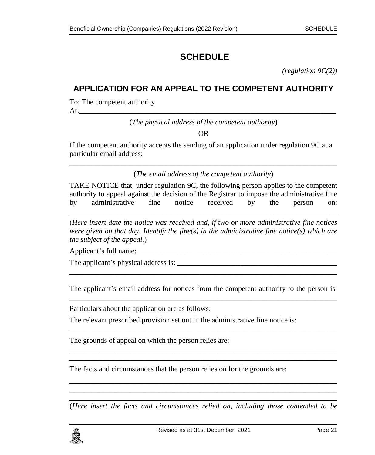# <span id="page-20-0"></span>**SCHEDULE**

*(regulation 9C(2))*

### <span id="page-20-1"></span>**APPLICATION FOR AN APPEAL TO THE COMPETENT AUTHORITY**

To: The competent authority At: $\frac{1}{2}$ 

(*The physical address of the competent authority*)

OR

If the competent authority accepts the sending of an application under regulation 9C at a particular email address:

\_\_\_\_\_\_\_\_\_\_\_\_\_\_\_\_\_\_\_\_\_\_\_\_\_\_\_\_\_\_\_\_\_\_\_\_\_\_\_\_\_\_\_\_\_\_\_\_\_\_\_\_\_\_\_\_\_\_\_\_\_\_\_\_\_\_\_\_\_\_\_\_ (*The email address of the competent authority*)

TAKE NOTICE that, under regulation 9C, the following person applies to the competent authority to appeal against the decision of the Registrar to impose the administrative fine by administrative fine notice received by the person on:

\_\_\_\_\_\_\_\_\_\_\_\_\_\_\_\_\_\_\_\_\_\_\_\_\_\_\_\_\_\_\_\_\_\_\_\_\_\_\_\_\_\_\_\_\_\_\_\_\_\_\_\_\_\_\_\_\_\_\_\_\_\_\_\_\_\_\_\_\_\_\_\_

(*Here insert date the notice was received and, if two or more administrative fine notices were given on that day. Identify the fine(s) in the administrative fine notice(s) which are the subject of the appeal.*)

Applicant's full name:\_\_\_\_\_\_\_\_\_\_\_\_\_\_\_\_\_\_\_\_\_\_\_\_\_\_\_\_\_\_\_\_\_\_\_\_\_\_\_\_\_\_\_\_\_\_\_\_\_\_\_\_\_\_

The applicant's physical address is:

The applicant's email address for notices from the competent authority to the person is: \_\_\_\_\_\_\_\_\_\_\_\_\_\_\_\_\_\_\_\_\_\_\_\_\_\_\_\_\_\_\_\_\_\_\_\_\_\_\_\_\_\_\_\_\_\_\_\_\_\_\_\_\_\_\_\_\_\_\_\_\_\_\_\_\_\_\_\_\_\_\_\_

\_\_\_\_\_\_\_\_\_\_\_\_\_\_\_\_\_\_\_\_\_\_\_\_\_\_\_\_\_\_\_\_\_\_\_\_\_\_\_\_\_\_\_\_\_\_\_\_\_\_\_\_\_\_\_\_\_\_\_\_\_\_\_\_\_\_\_\_\_\_\_\_

\_\_\_\_\_\_\_\_\_\_\_\_\_\_\_\_\_\_\_\_\_\_\_\_\_\_\_\_\_\_\_\_\_\_\_\_\_\_\_\_\_\_\_\_\_\_\_\_\_\_\_\_\_\_\_\_\_\_\_\_\_\_\_\_\_\_\_\_\_\_\_\_ \_\_\_\_\_\_\_\_\_\_\_\_\_\_\_\_\_\_\_\_\_\_\_\_\_\_\_\_\_\_\_\_\_\_\_\_\_\_\_\_\_\_\_\_\_\_\_\_\_\_\_\_\_\_\_\_\_\_\_\_\_\_\_\_\_\_\_\_\_\_\_\_

\_\_\_\_\_\_\_\_\_\_\_\_\_\_\_\_\_\_\_\_\_\_\_\_\_\_\_\_\_\_\_\_\_\_\_\_\_\_\_\_\_\_\_\_\_\_\_\_\_\_\_\_\_\_\_\_\_\_\_\_\_\_\_\_\_\_\_\_\_\_\_\_

Particulars about the application are as follows:

The relevant prescribed provision set out in the administrative fine notice is:

The grounds of appeal on which the person relies are:

The facts and circumstances that the person relies on for the grounds are:

\_\_\_\_\_\_\_\_\_\_\_\_\_\_\_\_\_\_\_\_\_\_\_\_\_\_\_\_\_\_\_\_\_\_\_\_\_\_\_\_\_\_\_\_\_\_\_\_\_\_\_\_\_\_\_\_\_\_\_\_\_\_\_\_\_\_\_\_\_\_\_\_ (*Here insert the facts and circumstances relied on, including those contended to be* 

\_\_\_\_\_\_\_\_\_\_\_\_\_\_\_\_\_\_\_\_\_\_\_\_\_\_\_\_\_\_\_\_\_\_\_\_\_\_\_\_\_\_\_\_\_\_\_\_\_\_\_\_\_\_\_\_\_\_\_\_\_\_\_\_\_\_\_\_\_\_\_\_ \_\_\_\_\_\_\_\_\_\_\_\_\_\_\_\_\_\_\_\_\_\_\_\_\_\_\_\_\_\_\_\_\_\_\_\_\_\_\_\_\_\_\_\_\_\_\_\_\_\_\_\_\_\_\_\_\_\_\_\_\_\_\_\_\_\_\_\_\_\_\_\_

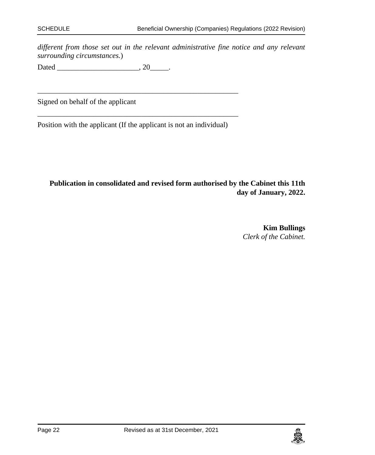*different from those set out in the relevant administrative fine notice and any relevant surrounding circumstances.*)

Dated \_\_\_\_\_\_\_\_\_\_\_\_\_\_\_\_\_\_\_\_\_\_, 20\_\_\_\_\_.

Signed on behalf of the applicant

\_\_\_\_\_\_\_\_\_\_\_\_\_\_\_\_\_\_\_\_\_\_\_\_\_\_\_\_\_\_\_\_\_\_\_\_\_\_\_\_\_\_\_\_\_\_\_\_\_\_\_\_\_\_ Position with the applicant (If the applicant is not an individual)

\_\_\_\_\_\_\_\_\_\_\_\_\_\_\_\_\_\_\_\_\_\_\_\_\_\_\_\_\_\_\_\_\_\_\_\_\_\_\_\_\_\_\_\_\_\_\_\_\_\_\_\_\_\_

**Publication in consolidated and revised form authorised by the Cabinet this 11th day of January, 2022.**

> **Kim Bullings** *Clerk of the Cabinet.*